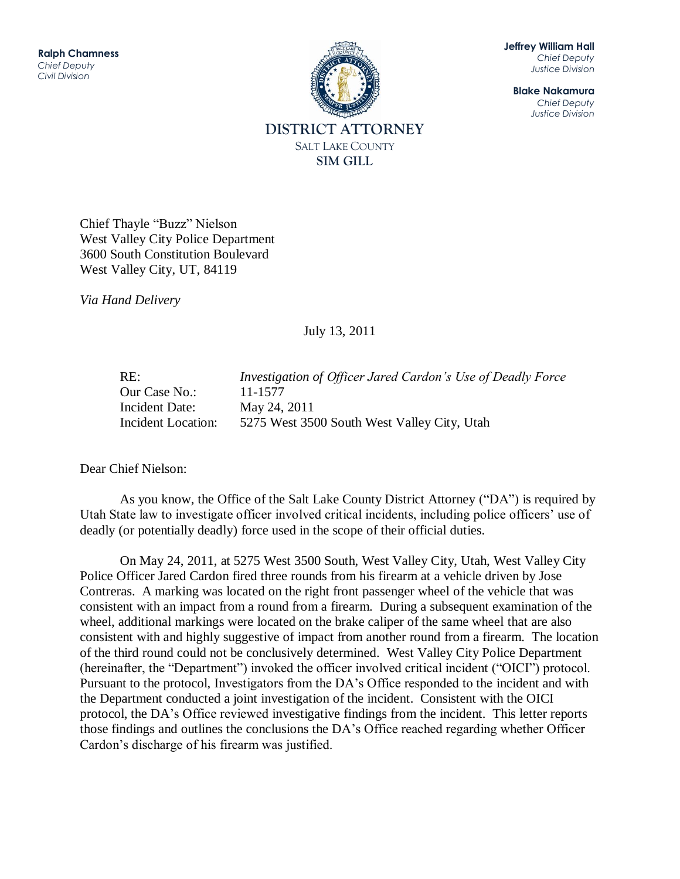

**Jeffrey William Hall** *Chief Deputy Justice Division*

**Blake Nakamura** *Chief Deputy Justice Division*

Chief Thayle "Buzz" Nielson West Valley City Police Department 3600 South Constitution Boulevard West Valley City, UT, 84119

*Via Hand Delivery*

July 13, 2011

| RE:                | Investigation of Officer Jared Cardon's Use of Deadly Force |
|--------------------|-------------------------------------------------------------|
| Our Case No.:      | 11-1577                                                     |
| Incident Date:     | May 24, 2011                                                |
| Incident Location: | 5275 West 3500 South West Valley City, Utah                 |

Dear Chief Nielson:

As you know, the Office of the Salt Lake County District Attorney ("DA") is required by Utah State law to investigate officer involved critical incidents, including police officers' use of deadly (or potentially deadly) force used in the scope of their official duties.

On May 24, 2011, at 5275 West 3500 South, West Valley City, Utah, West Valley City Police Officer Jared Cardon fired three rounds from his firearm at a vehicle driven by Jose Contreras. A marking was located on the right front passenger wheel of the vehicle that was consistent with an impact from a round from a firearm. During a subsequent examination of the wheel, additional markings were located on the brake caliper of the same wheel that are also consistent with and highly suggestive of impact from another round from a firearm. The location of the third round could not be conclusively determined. West Valley City Police Department (hereinafter, the "Department") invoked the officer involved critical incident ("OICI") protocol. Pursuant to the protocol, Investigators from the DA's Office responded to the incident and with the Department conducted a joint investigation of the incident. Consistent with the OICI protocol, the DA's Office reviewed investigative findings from the incident. This letter reports those findings and outlines the conclusions the DA's Office reached regarding whether Officer Cardon's discharge of his firearm was justified.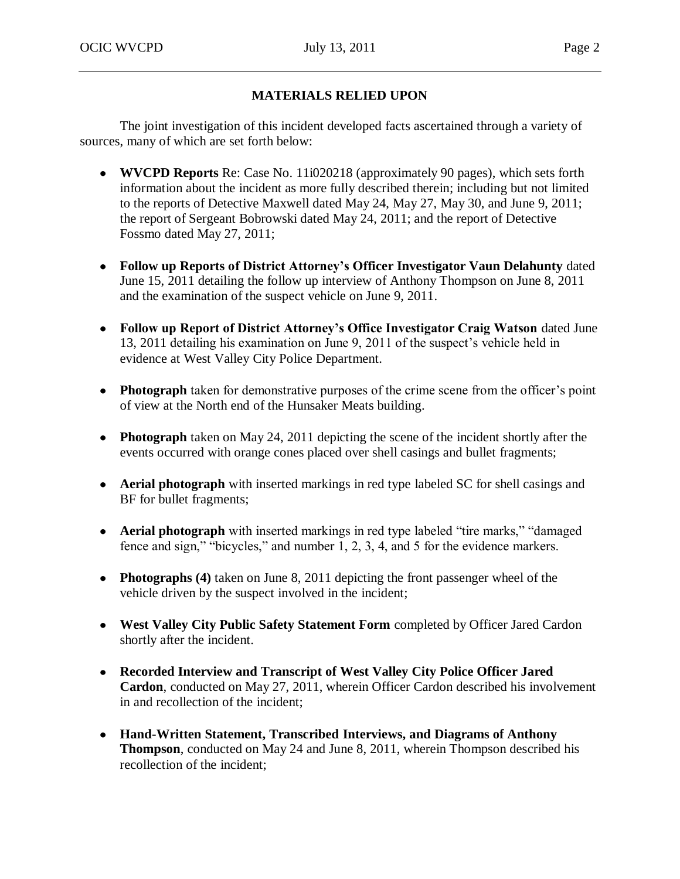# **MATERIALS RELIED UPON**

The joint investigation of this incident developed facts ascertained through a variety of sources, many of which are set forth below:

- **WVCPD Reports** Re: Case No. 11i020218 (approximately 90 pages), which sets forth information about the incident as more fully described therein; including but not limited to the reports of Detective Maxwell dated May 24, May 27, May 30, and June 9, 2011; the report of Sergeant Bobrowski dated May 24, 2011; and the report of Detective Fossmo dated May 27, 2011;
- **Follow up Reports of District Attorney's Officer Investigator Vaun Delahunty** dated June 15, 2011 detailing the follow up interview of Anthony Thompson on June 8, 2011 and the examination of the suspect vehicle on June 9, 2011.
- **Follow up Report of District Attorney's Office Investigator Craig Watson** dated June 13, 2011 detailing his examination on June 9, 2011 of the suspect's vehicle held in evidence at West Valley City Police Department.
- **Photograph** taken for demonstrative purposes of the crime scene from the officer's point of view at the North end of the Hunsaker Meats building.
- **Photograph** taken on May 24, 2011 depicting the scene of the incident shortly after the events occurred with orange cones placed over shell casings and bullet fragments;
- **Aerial photograph** with inserted markings in red type labeled SC for shell casings and BF for bullet fragments;
- **Aerial photograph** with inserted markings in red type labeled "tire marks," "damaged fence and sign," "bicycles," and number 1, 2, 3, 4, and 5 for the evidence markers.
- **Photographs (4)** taken on June 8, 2011 depicting the front passenger wheel of the vehicle driven by the suspect involved in the incident;
- **West Valley City Public Safety Statement Form** completed by Officer Jared Cardon shortly after the incident.
- **Recorded Interview and Transcript of West Valley City Police Officer Jared Cardon**, conducted on May 27, 2011, wherein Officer Cardon described his involvement in and recollection of the incident;
- **Hand-Written Statement, Transcribed Interviews, and Diagrams of Anthony Thompson**, conducted on May 24 and June 8, 2011, wherein Thompson described his recollection of the incident;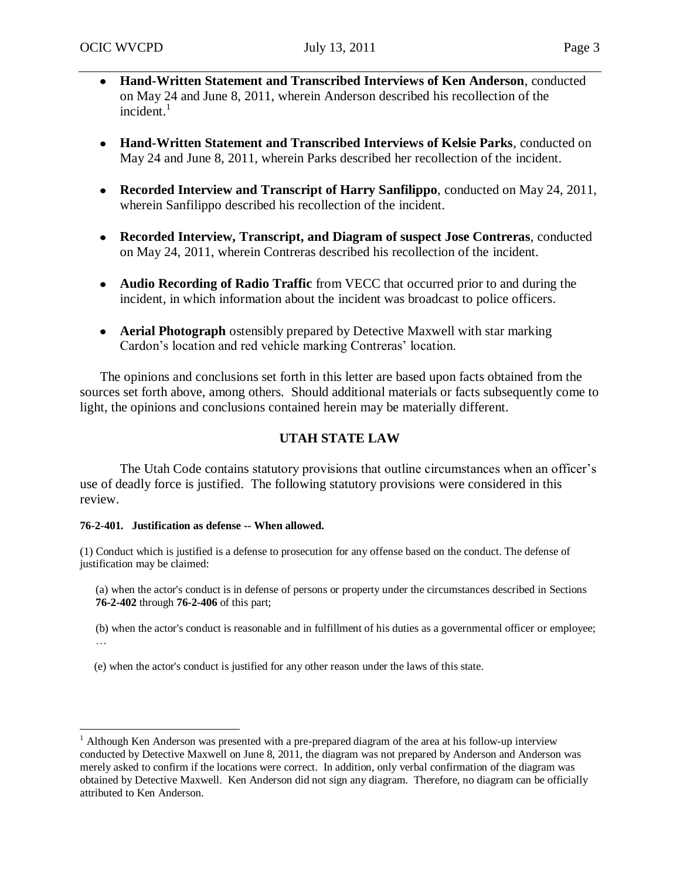- **Hand-Written Statement and Transcribed Interviews of Ken Anderson**, conducted on May 24 and June 8, 2011, wherein Anderson described his recollection of the incident. $1$
- **Hand-Written Statement and Transcribed Interviews of Kelsie Parks**, conducted on May 24 and June 8, 2011, wherein Parks described her recollection of the incident.
- **Recorded Interview and Transcript of Harry Sanfilippo**, conducted on May 24, 2011, wherein Sanfilippo described his recollection of the incident.
- **Recorded Interview, Transcript, and Diagram of suspect Jose Contreras**, conducted on May 24, 2011, wherein Contreras described his recollection of the incident.
- **Audio Recording of Radio Traffic** from VECC that occurred prior to and during the incident, in which information about the incident was broadcast to police officers.
- **Aerial Photograph** ostensibly prepared by Detective Maxwell with star marking Cardon's location and red vehicle marking Contreras' location.

The opinions and conclusions set forth in this letter are based upon facts obtained from the sources set forth above, among others. Should additional materials or facts subsequently come to light, the opinions and conclusions contained herein may be materially different.

# **UTAH STATE LAW**

The Utah Code contains statutory provisions that outline circumstances when an officer's use of deadly force is justified. The following statutory provisions were considered in this review.

## **76-2-401. Justification as defense -- When allowed.**

(1) Conduct which is justified is a defense to prosecution for any offense based on the conduct. The defense of justification may be claimed:

(a) when the actor's conduct is in defense of persons or property under the circumstances described in Sections **76-2-402** through **76-2-406** of this part;

(b) when the actor's conduct is reasonable and in fulfillment of his duties as a governmental officer or employee; …

(e) when the actor's conduct is justified for any other reason under the laws of this state.

 $\overline{a}$ <sup>1</sup> Although Ken Anderson was presented with a pre-prepared diagram of the area at his follow-up interview conducted by Detective Maxwell on June 8, 2011, the diagram was not prepared by Anderson and Anderson was merely asked to confirm if the locations were correct. In addition, only verbal confirmation of the diagram was obtained by Detective Maxwell. Ken Anderson did not sign any diagram. Therefore, no diagram can be officially attributed to Ken Anderson.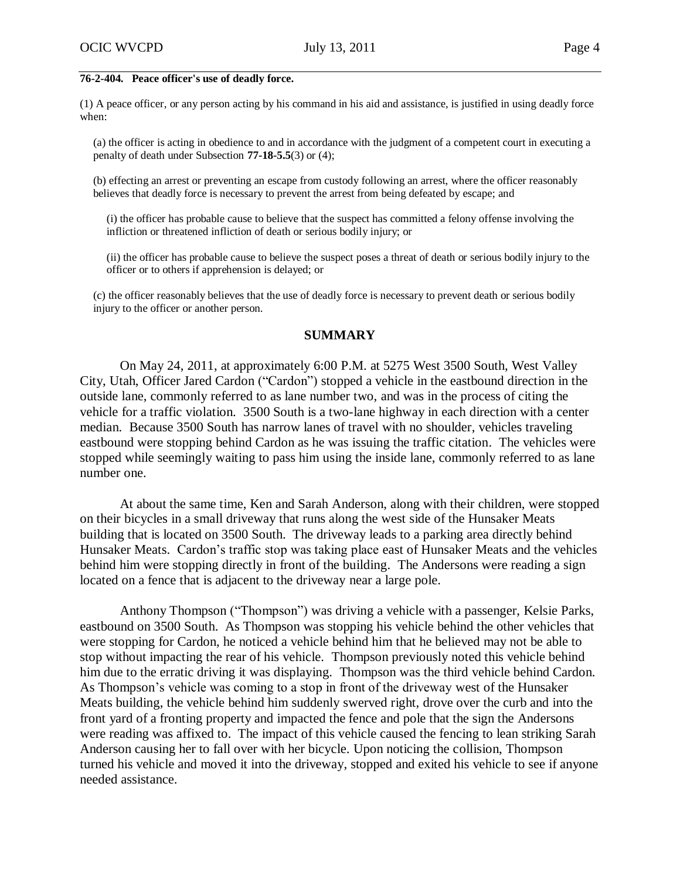#### **76-2-404. Peace officer's use of deadly force.**

(1) A peace officer, or any person acting by his command in his aid and assistance, is justified in using deadly force when:

(a) the officer is acting in obedience to and in accordance with the judgment of a competent court in executing a penalty of death under Subsection **77-18-5.5**(3) or (4);

(b) effecting an arrest or preventing an escape from custody following an arrest, where the officer reasonably believes that deadly force is necessary to prevent the arrest from being defeated by escape; and

(i) the officer has probable cause to believe that the suspect has committed a felony offense involving the infliction or threatened infliction of death or serious bodily injury; or

(ii) the officer has probable cause to believe the suspect poses a threat of death or serious bodily injury to the officer or to others if apprehension is delayed; or

(c) the officer reasonably believes that the use of deadly force is necessary to prevent death or serious bodily injury to the officer or another person.

## **SUMMARY**

On May 24, 2011, at approximately 6:00 P.M. at 5275 West 3500 South, West Valley City, Utah, Officer Jared Cardon ("Cardon") stopped a vehicle in the eastbound direction in the outside lane, commonly referred to as lane number two, and was in the process of citing the vehicle for a traffic violation. 3500 South is a two-lane highway in each direction with a center median. Because 3500 South has narrow lanes of travel with no shoulder, vehicles traveling eastbound were stopping behind Cardon as he was issuing the traffic citation. The vehicles were stopped while seemingly waiting to pass him using the inside lane, commonly referred to as lane number one.

At about the same time, Ken and Sarah Anderson, along with their children, were stopped on their bicycles in a small driveway that runs along the west side of the Hunsaker Meats building that is located on 3500 South. The driveway leads to a parking area directly behind Hunsaker Meats. Cardon's traffic stop was taking place east of Hunsaker Meats and the vehicles behind him were stopping directly in front of the building. The Andersons were reading a sign located on a fence that is adjacent to the driveway near a large pole.

Anthony Thompson ("Thompson") was driving a vehicle with a passenger, Kelsie Parks, eastbound on 3500 South. As Thompson was stopping his vehicle behind the other vehicles that were stopping for Cardon, he noticed a vehicle behind him that he believed may not be able to stop without impacting the rear of his vehicle. Thompson previously noted this vehicle behind him due to the erratic driving it was displaying. Thompson was the third vehicle behind Cardon. As Thompson's vehicle was coming to a stop in front of the driveway west of the Hunsaker Meats building, the vehicle behind him suddenly swerved right, drove over the curb and into the front yard of a fronting property and impacted the fence and pole that the sign the Andersons were reading was affixed to. The impact of this vehicle caused the fencing to lean striking Sarah Anderson causing her to fall over with her bicycle. Upon noticing the collision, Thompson turned his vehicle and moved it into the driveway, stopped and exited his vehicle to see if anyone needed assistance.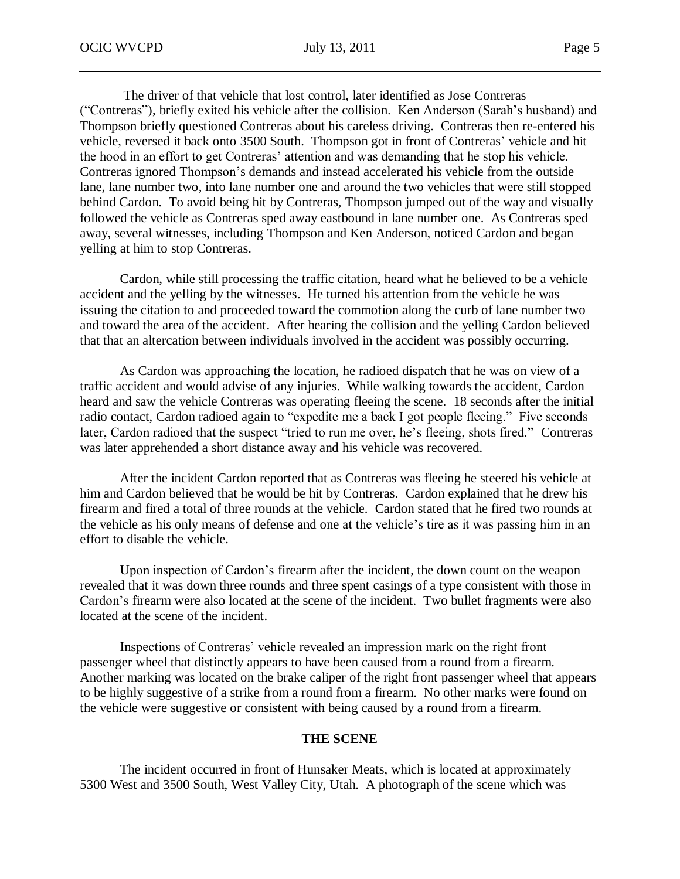The driver of that vehicle that lost control, later identified as Jose Contreras ("Contreras"), briefly exited his vehicle after the collision. Ken Anderson (Sarah's husband) and Thompson briefly questioned Contreras about his careless driving. Contreras then re-entered his vehicle, reversed it back onto 3500 South. Thompson got in front of Contreras' vehicle and hit the hood in an effort to get Contreras' attention and was demanding that he stop his vehicle. Contreras ignored Thompson's demands and instead accelerated his vehicle from the outside lane, lane number two, into lane number one and around the two vehicles that were still stopped behind Cardon. To avoid being hit by Contreras, Thompson jumped out of the way and visually followed the vehicle as Contreras sped away eastbound in lane number one. As Contreras sped away, several witnesses, including Thompson and Ken Anderson, noticed Cardon and began yelling at him to stop Contreras.

Cardon, while still processing the traffic citation, heard what he believed to be a vehicle accident and the yelling by the witnesses. He turned his attention from the vehicle he was issuing the citation to and proceeded toward the commotion along the curb of lane number two and toward the area of the accident. After hearing the collision and the yelling Cardon believed that that an altercation between individuals involved in the accident was possibly occurring.

As Cardon was approaching the location, he radioed dispatch that he was on view of a traffic accident and would advise of any injuries. While walking towards the accident, Cardon heard and saw the vehicle Contreras was operating fleeing the scene. 18 seconds after the initial radio contact, Cardon radioed again to "expedite me a back I got people fleeing." Five seconds later, Cardon radioed that the suspect "tried to run me over, he's fleeing, shots fired." Contreras was later apprehended a short distance away and his vehicle was recovered.

After the incident Cardon reported that as Contreras was fleeing he steered his vehicle at him and Cardon believed that he would be hit by Contreras. Cardon explained that he drew his firearm and fired a total of three rounds at the vehicle. Cardon stated that he fired two rounds at the vehicle as his only means of defense and one at the vehicle's tire as it was passing him in an effort to disable the vehicle.

Upon inspection of Cardon's firearm after the incident, the down count on the weapon revealed that it was down three rounds and three spent casings of a type consistent with those in Cardon's firearm were also located at the scene of the incident. Two bullet fragments were also located at the scene of the incident.

Inspections of Contreras' vehicle revealed an impression mark on the right front passenger wheel that distinctly appears to have been caused from a round from a firearm. Another marking was located on the brake caliper of the right front passenger wheel that appears to be highly suggestive of a strike from a round from a firearm. No other marks were found on the vehicle were suggestive or consistent with being caused by a round from a firearm.

## **THE SCENE**

The incident occurred in front of Hunsaker Meats, which is located at approximately 5300 West and 3500 South, West Valley City, Utah. A photograph of the scene which was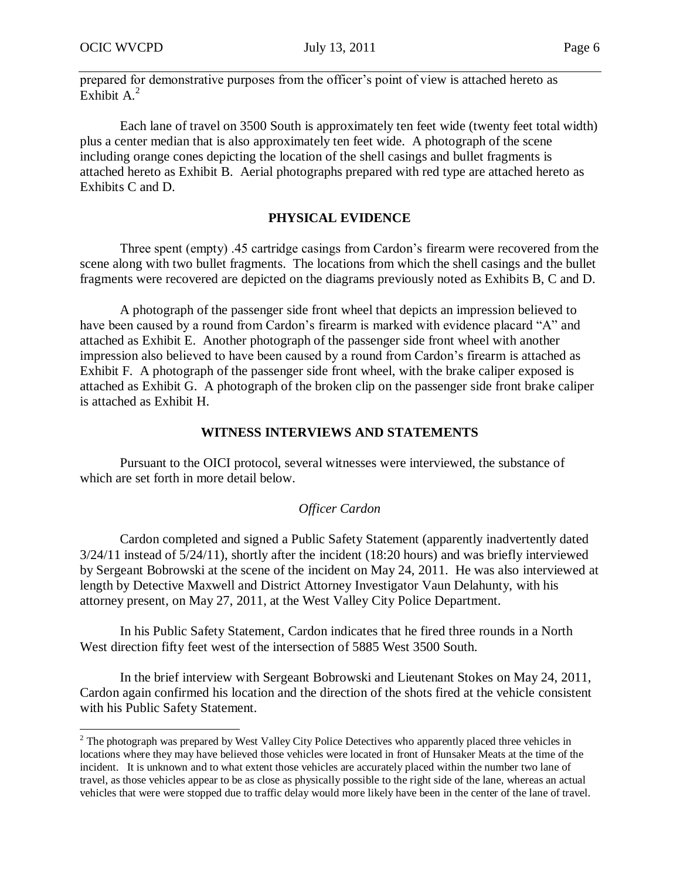$\overline{a}$ 

prepared for demonstrative purposes from the officer's point of view is attached hereto as  $Exhibit A.<sup>2</sup>$ 

Each lane of travel on 3500 South is approximately ten feet wide (twenty feet total width) plus a center median that is also approximately ten feet wide. A photograph of the scene including orange cones depicting the location of the shell casings and bullet fragments is attached hereto as Exhibit B. Aerial photographs prepared with red type are attached hereto as Exhibits C and D.

## **PHYSICAL EVIDENCE**

Three spent (empty) .45 cartridge casings from Cardon's firearm were recovered from the scene along with two bullet fragments. The locations from which the shell casings and the bullet fragments were recovered are depicted on the diagrams previously noted as Exhibits B, C and D.

A photograph of the passenger side front wheel that depicts an impression believed to have been caused by a round from Cardon's firearm is marked with evidence placard "A" and attached as Exhibit E. Another photograph of the passenger side front wheel with another impression also believed to have been caused by a round from Cardon's firearm is attached as Exhibit F. A photograph of the passenger side front wheel, with the brake caliper exposed is attached as Exhibit G. A photograph of the broken clip on the passenger side front brake caliper is attached as Exhibit H.

#### **WITNESS INTERVIEWS AND STATEMENTS**

Pursuant to the OICI protocol, several witnesses were interviewed, the substance of which are set forth in more detail below.

## *Officer Cardon*

Cardon completed and signed a Public Safety Statement (apparently inadvertently dated 3/24/11 instead of 5/24/11), shortly after the incident (18:20 hours) and was briefly interviewed by Sergeant Bobrowski at the scene of the incident on May 24, 2011. He was also interviewed at length by Detective Maxwell and District Attorney Investigator Vaun Delahunty, with his attorney present, on May 27, 2011, at the West Valley City Police Department.

In his Public Safety Statement, Cardon indicates that he fired three rounds in a North West direction fifty feet west of the intersection of 5885 West 3500 South.

In the brief interview with Sergeant Bobrowski and Lieutenant Stokes on May 24, 2011, Cardon again confirmed his location and the direction of the shots fired at the vehicle consistent with his Public Safety Statement.

 $2<sup>2</sup>$  The photograph was prepared by West Valley City Police Detectives who apparently placed three vehicles in locations where they may have believed those vehicles were located in front of Hunsaker Meats at the time of the incident. It is unknown and to what extent those vehicles are accurately placed within the number two lane of travel, as those vehicles appear to be as close as physically possible to the right side of the lane, whereas an actual vehicles that were were stopped due to traffic delay would more likely have been in the center of the lane of travel.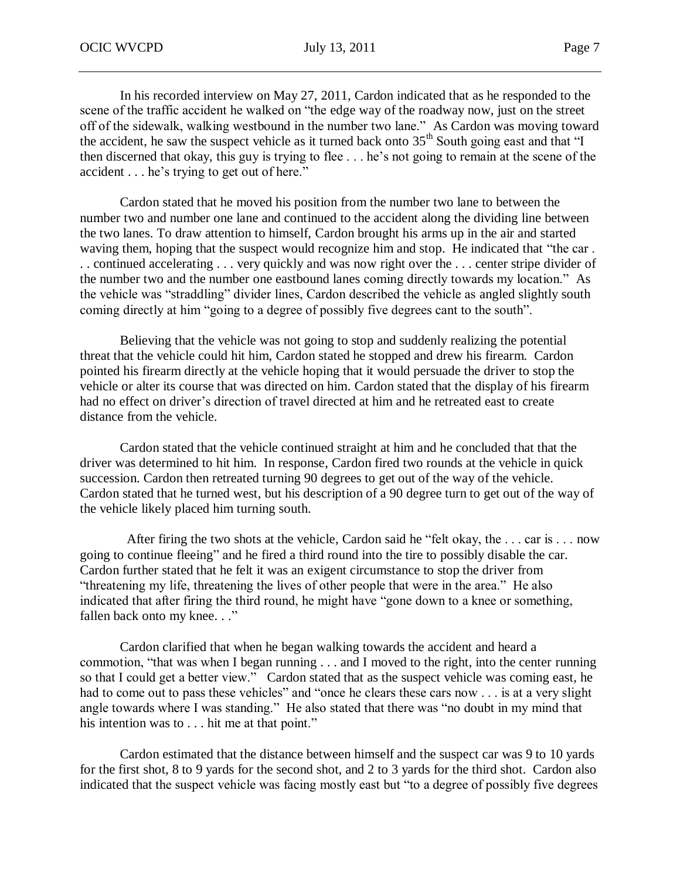In his recorded interview on May 27, 2011, Cardon indicated that as he responded to the scene of the traffic accident he walked on "the edge way of the roadway now, just on the street off of the sidewalk, walking westbound in the number two lane." As Cardon was moving toward the accident, he saw the suspect vehicle as it turned back onto  $35<sup>th</sup>$  South going east and that "I then discerned that okay, this guy is trying to flee . . . he's not going to remain at the scene of the accident . . . he's trying to get out of here."

Cardon stated that he moved his position from the number two lane to between the number two and number one lane and continued to the accident along the dividing line between the two lanes. To draw attention to himself, Cardon brought his arms up in the air and started waving them, hoping that the suspect would recognize him and stop. He indicated that "the car . . . continued accelerating . . . very quickly and was now right over the . . . center stripe divider of the number two and the number one eastbound lanes coming directly towards my location." As the vehicle was "straddling" divider lines, Cardon described the vehicle as angled slightly south coming directly at him "going to a degree of possibly five degrees cant to the south".

Believing that the vehicle was not going to stop and suddenly realizing the potential threat that the vehicle could hit him, Cardon stated he stopped and drew his firearm. Cardon pointed his firearm directly at the vehicle hoping that it would persuade the driver to stop the vehicle or alter its course that was directed on him. Cardon stated that the display of his firearm had no effect on driver's direction of travel directed at him and he retreated east to create distance from the vehicle.

Cardon stated that the vehicle continued straight at him and he concluded that that the driver was determined to hit him. In response, Cardon fired two rounds at the vehicle in quick succession. Cardon then retreated turning 90 degrees to get out of the way of the vehicle. Cardon stated that he turned west, but his description of a 90 degree turn to get out of the way of the vehicle likely placed him turning south.

After firing the two shots at the vehicle, Cardon said he "felt okay, the . . . car is . . . now going to continue fleeing" and he fired a third round into the tire to possibly disable the car. Cardon further stated that he felt it was an exigent circumstance to stop the driver from "threatening my life, threatening the lives of other people that were in the area." He also indicated that after firing the third round, he might have "gone down to a knee or something, fallen back onto my knee. . ."

Cardon clarified that when he began walking towards the accident and heard a commotion, "that was when I began running . . . and I moved to the right, into the center running so that I could get a better view." Cardon stated that as the suspect vehicle was coming east, he had to come out to pass these vehicles" and "once he clears these cars now . . . is at a very slight angle towards where I was standing." He also stated that there was "no doubt in my mind that his intention was to . . . hit me at that point."

Cardon estimated that the distance between himself and the suspect car was 9 to 10 yards for the first shot, 8 to 9 yards for the second shot, and 2 to 3 yards for the third shot. Cardon also indicated that the suspect vehicle was facing mostly east but "to a degree of possibly five degrees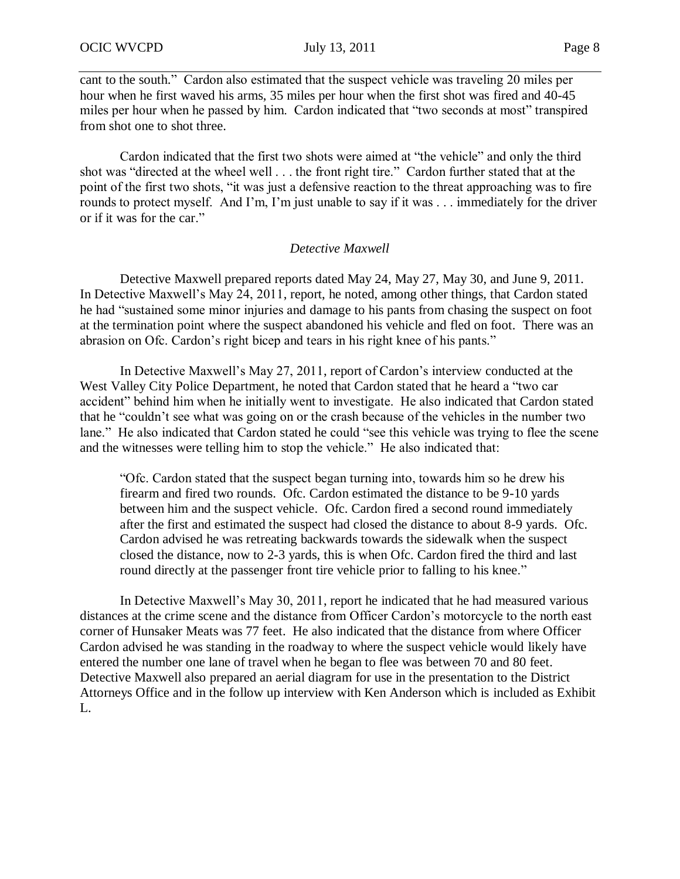cant to the south." Cardon also estimated that the suspect vehicle was traveling 20 miles per hour when he first waved his arms, 35 miles per hour when the first shot was fired and 40-45 miles per hour when he passed by him. Cardon indicated that "two seconds at most" transpired from shot one to shot three.

Cardon indicated that the first two shots were aimed at "the vehicle" and only the third shot was "directed at the wheel well . . . the front right tire." Cardon further stated that at the point of the first two shots, "it was just a defensive reaction to the threat approaching was to fire rounds to protect myself. And I'm, I'm just unable to say if it was . . . immediately for the driver or if it was for the car."

## *Detective Maxwell*

Detective Maxwell prepared reports dated May 24, May 27, May 30, and June 9, 2011. In Detective Maxwell's May 24, 2011, report, he noted, among other things, that Cardon stated he had "sustained some minor injuries and damage to his pants from chasing the suspect on foot at the termination point where the suspect abandoned his vehicle and fled on foot. There was an abrasion on Ofc. Cardon's right bicep and tears in his right knee of his pants."

In Detective Maxwell's May 27, 2011, report of Cardon's interview conducted at the West Valley City Police Department, he noted that Cardon stated that he heard a "two car accident" behind him when he initially went to investigate. He also indicated that Cardon stated that he "couldn't see what was going on or the crash because of the vehicles in the number two lane." He also indicated that Cardon stated he could "see this vehicle was trying to flee the scene and the witnesses were telling him to stop the vehicle." He also indicated that:

"Ofc. Cardon stated that the suspect began turning into, towards him so he drew his firearm and fired two rounds. Ofc. Cardon estimated the distance to be 9-10 yards between him and the suspect vehicle. Ofc. Cardon fired a second round immediately after the first and estimated the suspect had closed the distance to about 8-9 yards. Ofc. Cardon advised he was retreating backwards towards the sidewalk when the suspect closed the distance, now to 2-3 yards, this is when Ofc. Cardon fired the third and last round directly at the passenger front tire vehicle prior to falling to his knee."

In Detective Maxwell's May 30, 2011, report he indicated that he had measured various distances at the crime scene and the distance from Officer Cardon's motorcycle to the north east corner of Hunsaker Meats was 77 feet. He also indicated that the distance from where Officer Cardon advised he was standing in the roadway to where the suspect vehicle would likely have entered the number one lane of travel when he began to flee was between 70 and 80 feet. Detective Maxwell also prepared an aerial diagram for use in the presentation to the District Attorneys Office and in the follow up interview with Ken Anderson which is included as Exhibit L.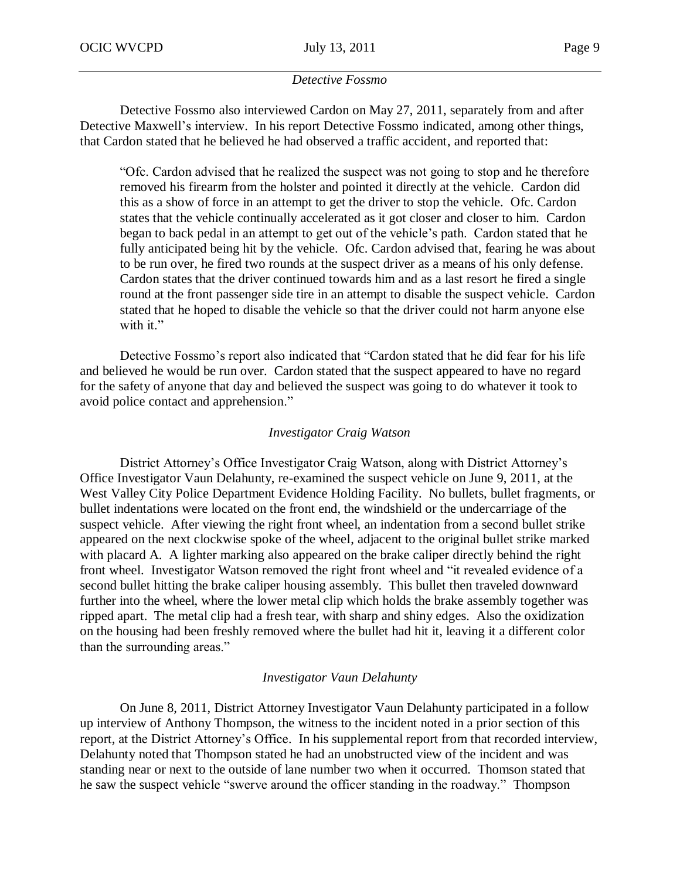## *Detective Fossmo*

Detective Fossmo also interviewed Cardon on May 27, 2011, separately from and after Detective Maxwell's interview. In his report Detective Fossmo indicated, among other things, that Cardon stated that he believed he had observed a traffic accident, and reported that:

"Ofc. Cardon advised that he realized the suspect was not going to stop and he therefore removed his firearm from the holster and pointed it directly at the vehicle. Cardon did this as a show of force in an attempt to get the driver to stop the vehicle. Ofc. Cardon states that the vehicle continually accelerated as it got closer and closer to him. Cardon began to back pedal in an attempt to get out of the vehicle's path. Cardon stated that he fully anticipated being hit by the vehicle. Ofc. Cardon advised that, fearing he was about to be run over, he fired two rounds at the suspect driver as a means of his only defense. Cardon states that the driver continued towards him and as a last resort he fired a single round at the front passenger side tire in an attempt to disable the suspect vehicle. Cardon stated that he hoped to disable the vehicle so that the driver could not harm anyone else with it."

Detective Fossmo's report also indicated that "Cardon stated that he did fear for his life and believed he would be run over. Cardon stated that the suspect appeared to have no regard for the safety of anyone that day and believed the suspect was going to do whatever it took to avoid police contact and apprehension."

#### *Investigator Craig Watson*

District Attorney's Office Investigator Craig Watson, along with District Attorney's Office Investigator Vaun Delahunty, re-examined the suspect vehicle on June 9, 2011, at the West Valley City Police Department Evidence Holding Facility. No bullets, bullet fragments, or bullet indentations were located on the front end, the windshield or the undercarriage of the suspect vehicle. After viewing the right front wheel, an indentation from a second bullet strike appeared on the next clockwise spoke of the wheel, adjacent to the original bullet strike marked with placard A. A lighter marking also appeared on the brake caliper directly behind the right front wheel. Investigator Watson removed the right front wheel and "it revealed evidence of a second bullet hitting the brake caliper housing assembly. This bullet then traveled downward further into the wheel, where the lower metal clip which holds the brake assembly together was ripped apart. The metal clip had a fresh tear, with sharp and shiny edges. Also the oxidization on the housing had been freshly removed where the bullet had hit it, leaving it a different color than the surrounding areas."

## *Investigator Vaun Delahunty*

On June 8, 2011, District Attorney Investigator Vaun Delahunty participated in a follow up interview of Anthony Thompson, the witness to the incident noted in a prior section of this report, at the District Attorney's Office. In his supplemental report from that recorded interview, Delahunty noted that Thompson stated he had an unobstructed view of the incident and was standing near or next to the outside of lane number two when it occurred. Thomson stated that he saw the suspect vehicle "swerve around the officer standing in the roadway." Thompson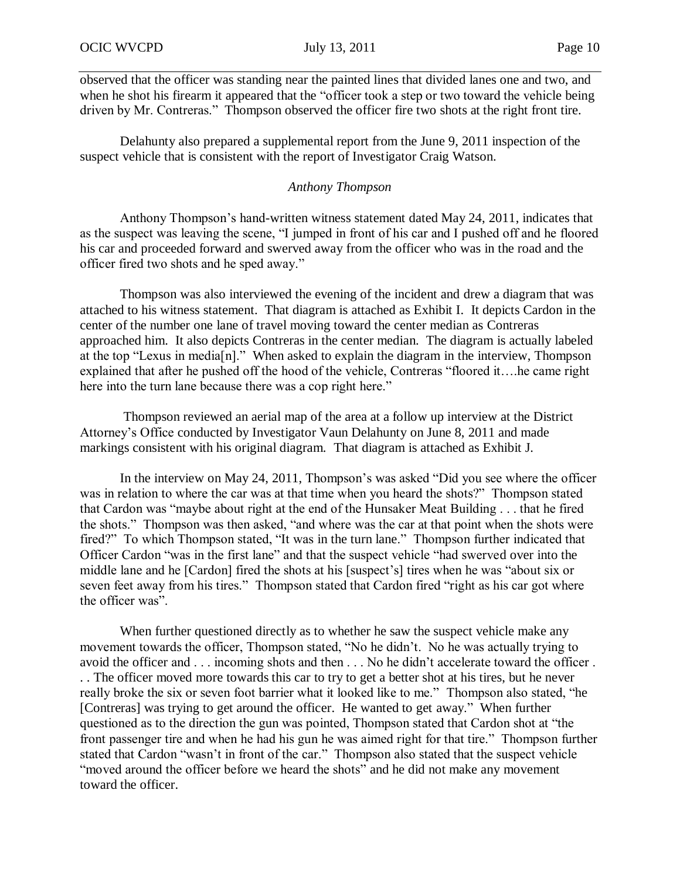observed that the officer was standing near the painted lines that divided lanes one and two, and when he shot his firearm it appeared that the "officer took a step or two toward the vehicle being driven by Mr. Contreras." Thompson observed the officer fire two shots at the right front tire.

Delahunty also prepared a supplemental report from the June 9, 2011 inspection of the suspect vehicle that is consistent with the report of Investigator Craig Watson.

## *Anthony Thompson*

Anthony Thompson's hand-written witness statement dated May 24, 2011, indicates that as the suspect was leaving the scene, "I jumped in front of his car and I pushed off and he floored his car and proceeded forward and swerved away from the officer who was in the road and the officer fired two shots and he sped away."

Thompson was also interviewed the evening of the incident and drew a diagram that was attached to his witness statement. That diagram is attached as Exhibit I. It depicts Cardon in the center of the number one lane of travel moving toward the center median as Contreras approached him. It also depicts Contreras in the center median. The diagram is actually labeled at the top "Lexus in media[n]." When asked to explain the diagram in the interview, Thompson explained that after he pushed off the hood of the vehicle, Contreras "floored it….he came right here into the turn lane because there was a cop right here."

Thompson reviewed an aerial map of the area at a follow up interview at the District Attorney's Office conducted by Investigator Vaun Delahunty on June 8, 2011 and made markings consistent with his original diagram. That diagram is attached as Exhibit J.

In the interview on May 24, 2011, Thompson's was asked "Did you see where the officer was in relation to where the car was at that time when you heard the shots?" Thompson stated that Cardon was "maybe about right at the end of the Hunsaker Meat Building . . . that he fired the shots." Thompson was then asked, "and where was the car at that point when the shots were fired?" To which Thompson stated, "It was in the turn lane." Thompson further indicated that Officer Cardon "was in the first lane" and that the suspect vehicle "had swerved over into the middle lane and he [Cardon] fired the shots at his [suspect's] tires when he was "about six or seven feet away from his tires." Thompson stated that Cardon fired "right as his car got where the officer was".

When further questioned directly as to whether he saw the suspect vehicle make any movement towards the officer, Thompson stated, "No he didn't. No he was actually trying to avoid the officer and . . . incoming shots and then . . . No he didn't accelerate toward the officer . . . The officer moved more towards this car to try to get a better shot at his tires, but he never really broke the six or seven foot barrier what it looked like to me." Thompson also stated, "he [Contreras] was trying to get around the officer. He wanted to get away." When further questioned as to the direction the gun was pointed, Thompson stated that Cardon shot at "the front passenger tire and when he had his gun he was aimed right for that tire." Thompson further stated that Cardon "wasn't in front of the car." Thompson also stated that the suspect vehicle "moved around the officer before we heard the shots" and he did not make any movement toward the officer.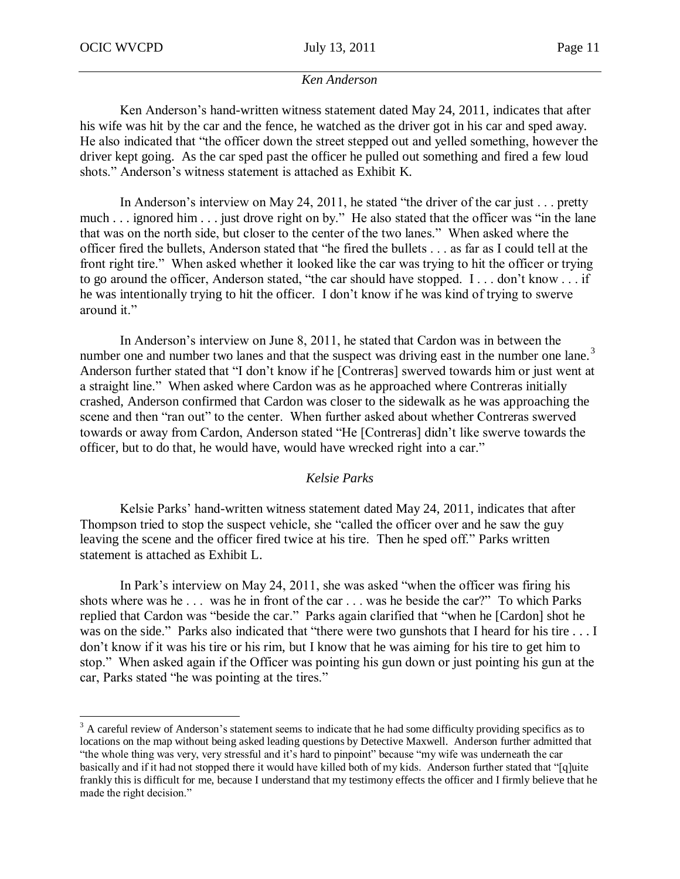$\overline{a}$ 

#### *Ken Anderson*

Ken Anderson's hand-written witness statement dated May 24, 2011, indicates that after his wife was hit by the car and the fence, he watched as the driver got in his car and sped away. He also indicated that "the officer down the street stepped out and yelled something, however the driver kept going. As the car sped past the officer he pulled out something and fired a few loud shots." Anderson's witness statement is attached as Exhibit K.

In Anderson's interview on May 24, 2011, he stated "the driver of the car just . . . pretty much . . . ignored him . . . just drove right on by." He also stated that the officer was "in the lane that was on the north side, but closer to the center of the two lanes." When asked where the officer fired the bullets, Anderson stated that "he fired the bullets . . . as far as I could tell at the front right tire." When asked whether it looked like the car was trying to hit the officer or trying to go around the officer, Anderson stated, "the car should have stopped. I . . . don't know . . . if he was intentionally trying to hit the officer. I don't know if he was kind of trying to swerve around it."

In Anderson's interview on June 8, 2011, he stated that Cardon was in between the number one and number two lanes and that the suspect was driving east in the number one lane.<sup>3</sup> Anderson further stated that "I don't know if he [Contreras] swerved towards him or just went at a straight line." When asked where Cardon was as he approached where Contreras initially crashed, Anderson confirmed that Cardon was closer to the sidewalk as he was approaching the scene and then "ran out" to the center. When further asked about whether Contreras swerved towards or away from Cardon, Anderson stated "He [Contreras] didn't like swerve towards the officer, but to do that, he would have, would have wrecked right into a car."

## *Kelsie Parks*

Kelsie Parks' hand-written witness statement dated May 24, 2011, indicates that after Thompson tried to stop the suspect vehicle, she "called the officer over and he saw the guy leaving the scene and the officer fired twice at his tire. Then he sped off." Parks written statement is attached as Exhibit L.

In Park's interview on May 24, 2011, she was asked "when the officer was firing his shots where was he . . . was he in front of the car . . . was he beside the car?" To which Parks replied that Cardon was "beside the car." Parks again clarified that "when he [Cardon] shot he was on the side." Parks also indicated that "there were two gunshots that I heard for his tire . . . I don't know if it was his tire or his rim, but I know that he was aiming for his tire to get him to stop." When asked again if the Officer was pointing his gun down or just pointing his gun at the car, Parks stated "he was pointing at the tires."

 $3$  A careful review of Anderson's statement seems to indicate that he had some difficulty providing specifics as to locations on the map without being asked leading questions by Detective Maxwell. Anderson further admitted that "the whole thing was very, very stressful and it's hard to pinpoint" because "my wife was underneath the car basically and if it had not stopped there it would have killed both of my kids. Anderson further stated that "[q]uite frankly this is difficult for me, because I understand that my testimony effects the officer and I firmly believe that he made the right decision."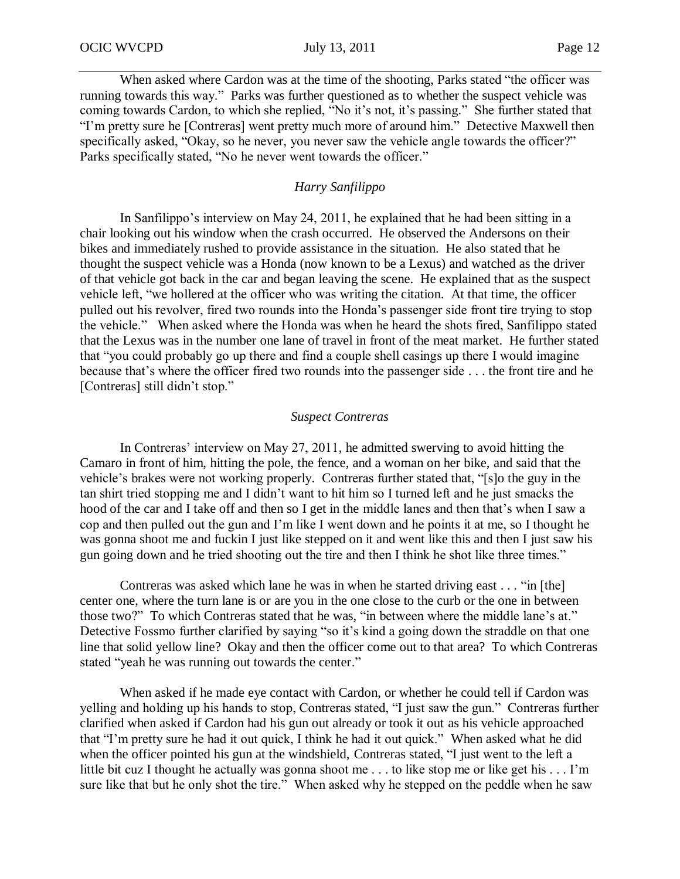When asked where Cardon was at the time of the shooting, Parks stated "the officer was running towards this way." Parks was further questioned as to whether the suspect vehicle was coming towards Cardon, to which she replied, "No it's not, it's passing." She further stated that "I'm pretty sure he [Contreras] went pretty much more of around him." Detective Maxwell then specifically asked, "Okay, so he never, you never saw the vehicle angle towards the officer?" Parks specifically stated, "No he never went towards the officer."

## *Harry Sanfilippo*

In Sanfilippo's interview on May 24, 2011, he explained that he had been sitting in a chair looking out his window when the crash occurred. He observed the Andersons on their bikes and immediately rushed to provide assistance in the situation. He also stated that he thought the suspect vehicle was a Honda (now known to be a Lexus) and watched as the driver of that vehicle got back in the car and began leaving the scene. He explained that as the suspect vehicle left, "we hollered at the officer who was writing the citation. At that time, the officer pulled out his revolver, fired two rounds into the Honda's passenger side front tire trying to stop the vehicle." When asked where the Honda was when he heard the shots fired, Sanfilippo stated that the Lexus was in the number one lane of travel in front of the meat market. He further stated that "you could probably go up there and find a couple shell casings up there I would imagine because that's where the officer fired two rounds into the passenger side . . . the front tire and he [Contreras] still didn't stop."

#### *Suspect Contreras*

In Contreras' interview on May 27, 2011, he admitted swerving to avoid hitting the Camaro in front of him, hitting the pole, the fence, and a woman on her bike, and said that the vehicle's brakes were not working properly. Contreras further stated that, "[s]o the guy in the tan shirt tried stopping me and I didn't want to hit him so I turned left and he just smacks the hood of the car and I take off and then so I get in the middle lanes and then that's when I saw a cop and then pulled out the gun and I'm like I went down and he points it at me, so I thought he was gonna shoot me and fuckin I just like stepped on it and went like this and then I just saw his gun going down and he tried shooting out the tire and then I think he shot like three times."

Contreras was asked which lane he was in when he started driving east . . . "in [the] center one, where the turn lane is or are you in the one close to the curb or the one in between those two?" To which Contreras stated that he was, "in between where the middle lane's at." Detective Fossmo further clarified by saying "so it's kind a going down the straddle on that one line that solid yellow line? Okay and then the officer come out to that area? To which Contreras stated "yeah he was running out towards the center."

When asked if he made eye contact with Cardon, or whether he could tell if Cardon was yelling and holding up his hands to stop, Contreras stated, "I just saw the gun." Contreras further clarified when asked if Cardon had his gun out already or took it out as his vehicle approached that "I'm pretty sure he had it out quick, I think he had it out quick." When asked what he did when the officer pointed his gun at the windshield, Contreras stated, "I just went to the left a little bit cuz I thought he actually was gonna shoot me . . . to like stop me or like get his . . . I'm sure like that but he only shot the tire." When asked why he stepped on the peddle when he saw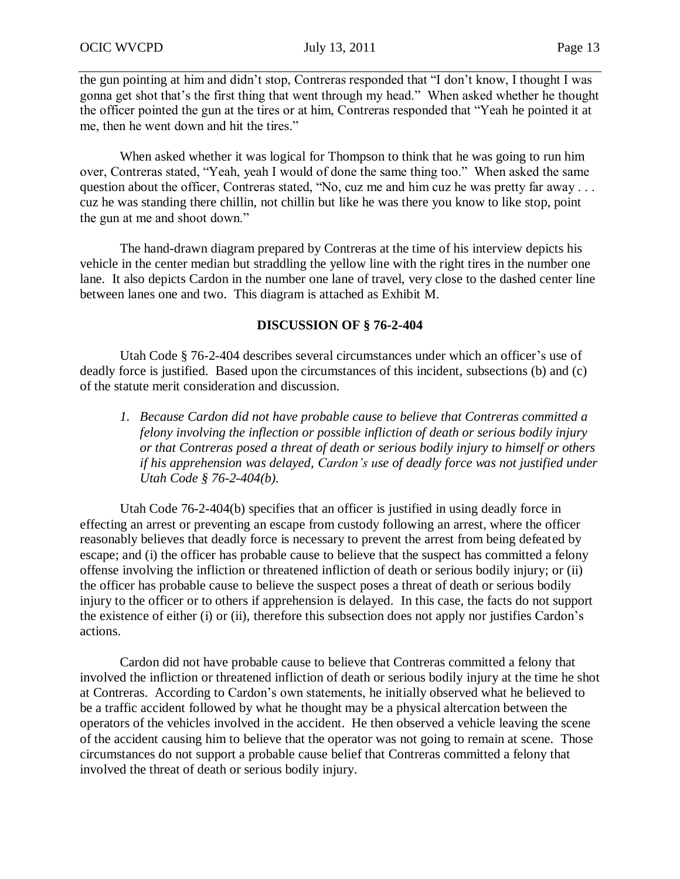the gun pointing at him and didn't stop, Contreras responded that "I don't know, I thought I was gonna get shot that's the first thing that went through my head." When asked whether he thought the officer pointed the gun at the tires or at him, Contreras responded that "Yeah he pointed it at me, then he went down and hit the tires."

When asked whether it was logical for Thompson to think that he was going to run him over, Contreras stated, "Yeah, yeah I would of done the same thing too." When asked the same question about the officer, Contreras stated, "No, cuz me and him cuz he was pretty far away . . . cuz he was standing there chillin, not chillin but like he was there you know to like stop, point the gun at me and shoot down."

The hand-drawn diagram prepared by Contreras at the time of his interview depicts his vehicle in the center median but straddling the yellow line with the right tires in the number one lane. It also depicts Cardon in the number one lane of travel, very close to the dashed center line between lanes one and two. This diagram is attached as Exhibit M.

## **DISCUSSION OF § 76-2-404**

Utah Code § 76-2-404 describes several circumstances under which an officer's use of deadly force is justified. Based upon the circumstances of this incident, subsections (b) and (c) of the statute merit consideration and discussion.

*1. Because Cardon did not have probable cause to believe that Contreras committed a felony involving the inflection or possible infliction of death or serious bodily injury or that Contreras posed a threat of death or serious bodily injury to himself or others if his apprehension was delayed, Cardon's use of deadly force was not justified under Utah Code § 76-2-404(b).* 

Utah Code 76-2-404(b) specifies that an officer is justified in using deadly force in effecting an arrest or preventing an escape from custody following an arrest, where the officer reasonably believes that deadly force is necessary to prevent the arrest from being defeated by escape; and (i) the officer has probable cause to believe that the suspect has committed a felony offense involving the infliction or threatened infliction of death or serious bodily injury; or (ii) the officer has probable cause to believe the suspect poses a threat of death or serious bodily injury to the officer or to others if apprehension is delayed. In this case, the facts do not support the existence of either (i) or (ii), therefore this subsection does not apply nor justifies Cardon's actions.

Cardon did not have probable cause to believe that Contreras committed a felony that involved the infliction or threatened infliction of death or serious bodily injury at the time he shot at Contreras. According to Cardon's own statements, he initially observed what he believed to be a traffic accident followed by what he thought may be a physical altercation between the operators of the vehicles involved in the accident. He then observed a vehicle leaving the scene of the accident causing him to believe that the operator was not going to remain at scene. Those circumstances do not support a probable cause belief that Contreras committed a felony that involved the threat of death or serious bodily injury.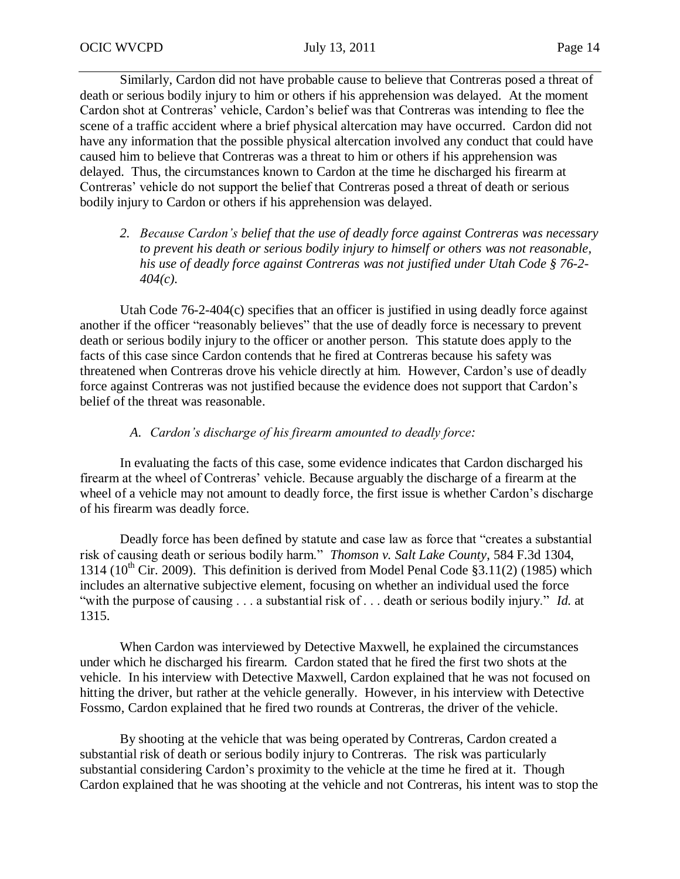Similarly, Cardon did not have probable cause to believe that Contreras posed a threat of death or serious bodily injury to him or others if his apprehension was delayed. At the moment Cardon shot at Contreras' vehicle, Cardon's belief was that Contreras was intending to flee the scene of a traffic accident where a brief physical altercation may have occurred. Cardon did not have any information that the possible physical altercation involved any conduct that could have caused him to believe that Contreras was a threat to him or others if his apprehension was delayed. Thus, the circumstances known to Cardon at the time he discharged his firearm at Contreras' vehicle do not support the belief that Contreras posed a threat of death or serious bodily injury to Cardon or others if his apprehension was delayed.

*2. Because Cardon's belief that the use of deadly force against Contreras was necessary to prevent his death or serious bodily injury to himself or others was not reasonable, his use of deadly force against Contreras was not justified under Utah Code § 76-2- 404(c).*

Utah Code 76-2-404(c) specifies that an officer is justified in using deadly force against another if the officer "reasonably believes" that the use of deadly force is necessary to prevent death or serious bodily injury to the officer or another person. This statute does apply to the facts of this case since Cardon contends that he fired at Contreras because his safety was threatened when Contreras drove his vehicle directly at him. However, Cardon's use of deadly force against Contreras was not justified because the evidence does not support that Cardon's belief of the threat was reasonable.

## *A. Cardon's discharge of his firearm amounted to deadly force:*

In evaluating the facts of this case, some evidence indicates that Cardon discharged his firearm at the wheel of Contreras' vehicle. Because arguably the discharge of a firearm at the wheel of a vehicle may not amount to deadly force, the first issue is whether Cardon's discharge of his firearm was deadly force.

Deadly force has been defined by statute and case law as force that "creates a substantial risk of causing death or serious bodily harm." *Thomson v. Salt Lake County*, 584 F.3d 1304, 1314 (10<sup>th</sup> Cir. 2009). This definition is derived from Model Penal Code §3.11(2) (1985) which includes an alternative subjective element, focusing on whether an individual used the force "with the purpose of causing . . . a substantial risk of . . . death or serious bodily injury." *Id.* at 1315.

When Cardon was interviewed by Detective Maxwell, he explained the circumstances under which he discharged his firearm. Cardon stated that he fired the first two shots at the vehicle. In his interview with Detective Maxwell, Cardon explained that he was not focused on hitting the driver, but rather at the vehicle generally. However, in his interview with Detective Fossmo, Cardon explained that he fired two rounds at Contreras, the driver of the vehicle.

By shooting at the vehicle that was being operated by Contreras, Cardon created a substantial risk of death or serious bodily injury to Contreras. The risk was particularly substantial considering Cardon's proximity to the vehicle at the time he fired at it. Though Cardon explained that he was shooting at the vehicle and not Contreras, his intent was to stop the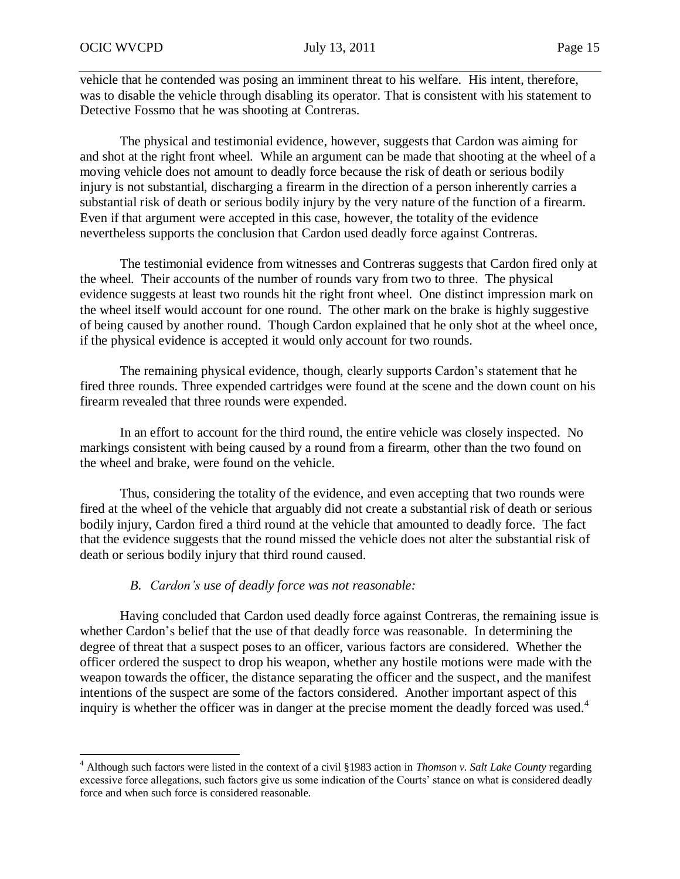$\overline{a}$ 

vehicle that he contended was posing an imminent threat to his welfare. His intent, therefore, was to disable the vehicle through disabling its operator. That is consistent with his statement to Detective Fossmo that he was shooting at Contreras.

The physical and testimonial evidence, however, suggests that Cardon was aiming for and shot at the right front wheel. While an argument can be made that shooting at the wheel of a moving vehicle does not amount to deadly force because the risk of death or serious bodily injury is not substantial, discharging a firearm in the direction of a person inherently carries a substantial risk of death or serious bodily injury by the very nature of the function of a firearm. Even if that argument were accepted in this case, however, the totality of the evidence nevertheless supports the conclusion that Cardon used deadly force against Contreras.

The testimonial evidence from witnesses and Contreras suggests that Cardon fired only at the wheel. Their accounts of the number of rounds vary from two to three. The physical evidence suggests at least two rounds hit the right front wheel. One distinct impression mark on the wheel itself would account for one round. The other mark on the brake is highly suggestive of being caused by another round. Though Cardon explained that he only shot at the wheel once, if the physical evidence is accepted it would only account for two rounds.

The remaining physical evidence, though, clearly supports Cardon's statement that he fired three rounds. Three expended cartridges were found at the scene and the down count on his firearm revealed that three rounds were expended.

In an effort to account for the third round, the entire vehicle was closely inspected. No markings consistent with being caused by a round from a firearm, other than the two found on the wheel and brake, were found on the vehicle.

Thus, considering the totality of the evidence, and even accepting that two rounds were fired at the wheel of the vehicle that arguably did not create a substantial risk of death or serious bodily injury, Cardon fired a third round at the vehicle that amounted to deadly force. The fact that the evidence suggests that the round missed the vehicle does not alter the substantial risk of death or serious bodily injury that third round caused.

## *B. Cardon's use of deadly force was not reasonable:*

Having concluded that Cardon used deadly force against Contreras, the remaining issue is whether Cardon's belief that the use of that deadly force was reasonable. In determining the degree of threat that a suspect poses to an officer, various factors are considered. Whether the officer ordered the suspect to drop his weapon, whether any hostile motions were made with the weapon towards the officer, the distance separating the officer and the suspect, and the manifest intentions of the suspect are some of the factors considered. Another important aspect of this inquiry is whether the officer was in danger at the precise moment the deadly forced was used.<sup>4</sup>

<sup>4</sup> Although such factors were listed in the context of a civil §1983 action in *Thomson v. Salt Lake County* regarding excessive force allegations, such factors give us some indication of the Courts' stance on what is considered deadly force and when such force is considered reasonable.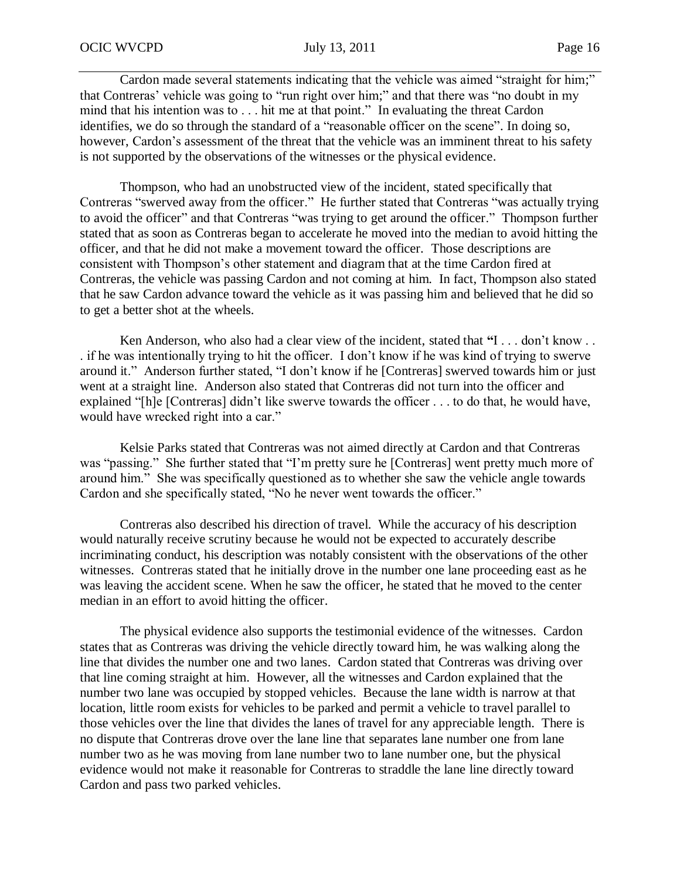Cardon made several statements indicating that the vehicle was aimed "straight for him;" that Contreras' vehicle was going to "run right over him;" and that there was "no doubt in my mind that his intention was to . . . hit me at that point." In evaluating the threat Cardon identifies, we do so through the standard of a "reasonable officer on the scene". In doing so, however, Cardon's assessment of the threat that the vehicle was an imminent threat to his safety is not supported by the observations of the witnesses or the physical evidence.

Thompson, who had an unobstructed view of the incident, stated specifically that Contreras "swerved away from the officer." He further stated that Contreras "was actually trying to avoid the officer" and that Contreras "was trying to get around the officer." Thompson further stated that as soon as Contreras began to accelerate he moved into the median to avoid hitting the officer, and that he did not make a movement toward the officer. Those descriptions are consistent with Thompson's other statement and diagram that at the time Cardon fired at Contreras, the vehicle was passing Cardon and not coming at him. In fact, Thompson also stated that he saw Cardon advance toward the vehicle as it was passing him and believed that he did so to get a better shot at the wheels.

Ken Anderson, who also had a clear view of the incident, stated that **"**I . . . don't know . . . if he was intentionally trying to hit the officer. I don't know if he was kind of trying to swerve around it." Anderson further stated, "I don't know if he [Contreras] swerved towards him or just went at a straight line. Anderson also stated that Contreras did not turn into the officer and explained "[h]e [Contreras] didn't like swerve towards the officer . . . to do that, he would have, would have wrecked right into a car."

Kelsie Parks stated that Contreras was not aimed directly at Cardon and that Contreras was "passing." She further stated that "I'm pretty sure he [Contreras] went pretty much more of around him." She was specifically questioned as to whether she saw the vehicle angle towards Cardon and she specifically stated, "No he never went towards the officer."

Contreras also described his direction of travel. While the accuracy of his description would naturally receive scrutiny because he would not be expected to accurately describe incriminating conduct, his description was notably consistent with the observations of the other witnesses. Contreras stated that he initially drove in the number one lane proceeding east as he was leaving the accident scene. When he saw the officer, he stated that he moved to the center median in an effort to avoid hitting the officer.

The physical evidence also supports the testimonial evidence of the witnesses. Cardon states that as Contreras was driving the vehicle directly toward him, he was walking along the line that divides the number one and two lanes. Cardon stated that Contreras was driving over that line coming straight at him. However, all the witnesses and Cardon explained that the number two lane was occupied by stopped vehicles. Because the lane width is narrow at that location, little room exists for vehicles to be parked and permit a vehicle to travel parallel to those vehicles over the line that divides the lanes of travel for any appreciable length. There is no dispute that Contreras drove over the lane line that separates lane number one from lane number two as he was moving from lane number two to lane number one, but the physical evidence would not make it reasonable for Contreras to straddle the lane line directly toward Cardon and pass two parked vehicles.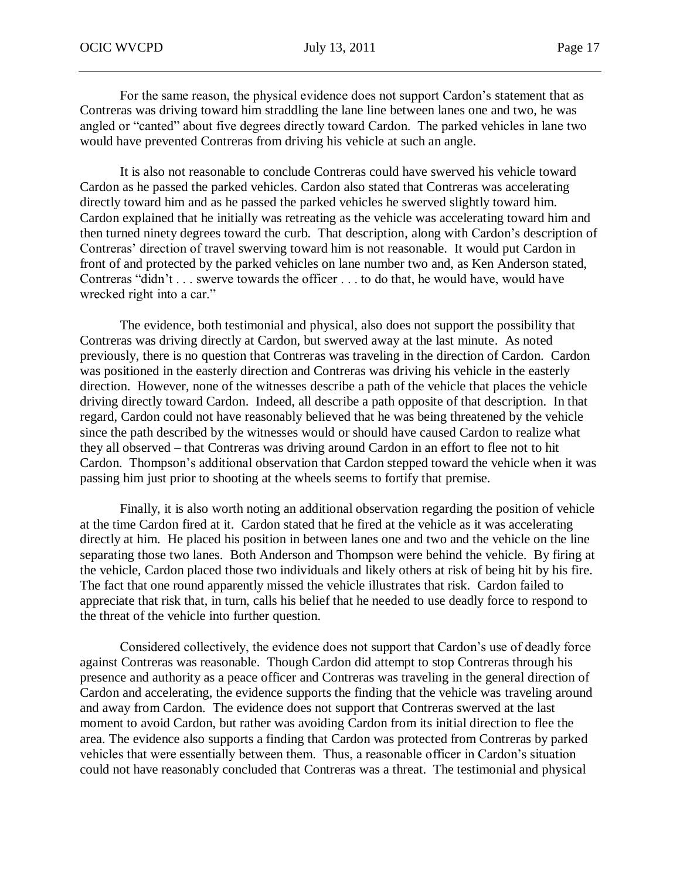For the same reason, the physical evidence does not support Cardon's statement that as Contreras was driving toward him straddling the lane line between lanes one and two, he was angled or "canted" about five degrees directly toward Cardon. The parked vehicles in lane two would have prevented Contreras from driving his vehicle at such an angle.

It is also not reasonable to conclude Contreras could have swerved his vehicle toward Cardon as he passed the parked vehicles. Cardon also stated that Contreras was accelerating directly toward him and as he passed the parked vehicles he swerved slightly toward him. Cardon explained that he initially was retreating as the vehicle was accelerating toward him and then turned ninety degrees toward the curb. That description, along with Cardon's description of Contreras' direction of travel swerving toward him is not reasonable. It would put Cardon in front of and protected by the parked vehicles on lane number two and, as Ken Anderson stated, Contreras "didn't . . . swerve towards the officer . . . to do that, he would have, would have wrecked right into a car."

The evidence, both testimonial and physical, also does not support the possibility that Contreras was driving directly at Cardon, but swerved away at the last minute. As noted previously, there is no question that Contreras was traveling in the direction of Cardon. Cardon was positioned in the easterly direction and Contreras was driving his vehicle in the easterly direction. However, none of the witnesses describe a path of the vehicle that places the vehicle driving directly toward Cardon. Indeed, all describe a path opposite of that description. In that regard, Cardon could not have reasonably believed that he was being threatened by the vehicle since the path described by the witnesses would or should have caused Cardon to realize what they all observed – that Contreras was driving around Cardon in an effort to flee not to hit Cardon. Thompson's additional observation that Cardon stepped toward the vehicle when it was passing him just prior to shooting at the wheels seems to fortify that premise.

Finally, it is also worth noting an additional observation regarding the position of vehicle at the time Cardon fired at it. Cardon stated that he fired at the vehicle as it was accelerating directly at him. He placed his position in between lanes one and two and the vehicle on the line separating those two lanes. Both Anderson and Thompson were behind the vehicle. By firing at the vehicle, Cardon placed those two individuals and likely others at risk of being hit by his fire. The fact that one round apparently missed the vehicle illustrates that risk. Cardon failed to appreciate that risk that, in turn, calls his belief that he needed to use deadly force to respond to the threat of the vehicle into further question.

Considered collectively, the evidence does not support that Cardon's use of deadly force against Contreras was reasonable. Though Cardon did attempt to stop Contreras through his presence and authority as a peace officer and Contreras was traveling in the general direction of Cardon and accelerating, the evidence supports the finding that the vehicle was traveling around and away from Cardon. The evidence does not support that Contreras swerved at the last moment to avoid Cardon, but rather was avoiding Cardon from its initial direction to flee the area. The evidence also supports a finding that Cardon was protected from Contreras by parked vehicles that were essentially between them. Thus, a reasonable officer in Cardon's situation could not have reasonably concluded that Contreras was a threat. The testimonial and physical